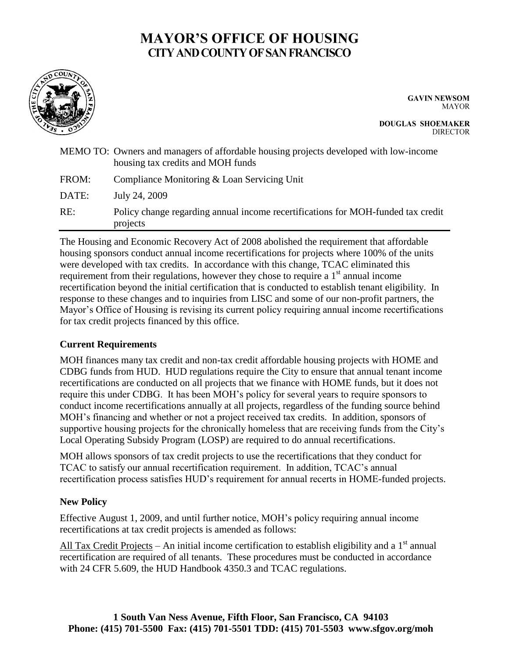# **MAYOR'S OFFICE OF HOUSING CITY AND COUNTY OF SAN FRANCISCO**



**GAVIN NEWSOM MAYOR** 

**DOUGLAS SHOEMAKER DIRECTOR** 

|       | MEMO TO: Owners and managers of affordable housing projects developed with low-income<br>housing tax credits and MOH funds |
|-------|----------------------------------------------------------------------------------------------------------------------------|
| FROM: | Compliance Monitoring & Loan Servicing Unit                                                                                |
| DATE: | July 24, 2009                                                                                                              |
| RE:   | Policy change regarding annual income recertifications for MOH-funded tax credit<br>projects                               |

The Housing and Economic Recovery Act of 2008 abolished the requirement that affordable housing sponsors conduct annual income recertifications for projects where 100% of the units were developed with tax credits. In accordance with this change, TCAC eliminated this requirement from their regulations, however they chose to require a  $1<sup>st</sup>$  annual income recertification beyond the initial certification that is conducted to establish tenant eligibility. In response to these changes and to inquiries from LISC and some of our non-profit partners, the Mayor's Office of Housing is revising its current policy requiring annual income recertifications for tax credit projects financed by this office.

## **Current Requirements**

MOH finances many tax credit and non-tax credit affordable housing projects with HOME and CDBG funds from HUD. HUD regulations require the City to ensure that annual tenant income recertifications are conducted on all projects that we finance with HOME funds, but it does not require this under CDBG. It has been MOH's policy for several years to require sponsors to conduct income recertifications annually at all projects, regardless of the funding source behind MOH's financing and whether or not a project received tax credits. In addition, sponsors of supportive housing projects for the chronically homeless that are receiving funds from the City's Local Operating Subsidy Program (LOSP) are required to do annual recertifications.

MOH allows sponsors of tax credit projects to use the recertifications that they conduct for TCAC to satisfy our annual recertification requirement. In addition, TCAC's annual recertification process satisfies HUD's requirement for annual recerts in HOME-funded projects.

## **New Policy**

Effective August 1, 2009, and until further notice, MOH's policy requiring annual income recertifications at tax credit projects is amended as follows:

All Tax Credit Projects – An initial income certification to establish eligibility and a  $1<sup>st</sup>$  annual recertification are required of all tenants. These procedures must be conducted in accordance with 24 CFR 5.609, the HUD Handbook 4350.3 and TCAC regulations.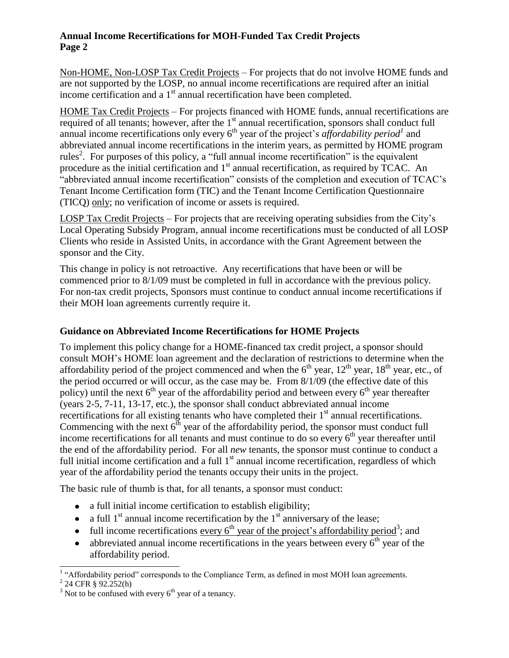## **Annual Income Recertifications for MOH-Funded Tax Credit Projects Page 2**

Non-HOME, Non-LOSP Tax Credit Projects – For projects that do not involve HOME funds and are not supported by the LOSP, no annual income recertifications are required after an initial income certification and a  $1<sup>st</sup>$  annual recertification have been completed.

HOME Tax Credit Projects – For projects financed with HOME funds, annual recertifications are required of all tenants; however, after the 1<sup>st</sup> annual recertification, sponsors shall conduct full annual income recertifications only every  $6<sup>th</sup>$  year of the project's *affordability period*<sup>1</sup> and abbreviated annual income recertifications in the interim years, as permitted by HOME program rules<sup>2</sup>. For purposes of this policy, a "full annual income recertification" is the equivalent procedure as the initial certification and  $1<sup>st</sup>$  annual recertification, as required by TCAC. An "abbreviated annual income recertification" consists of the completion and execution of TCAC's Tenant Income Certification form (TIC) and the Tenant Income Certification Questionnaire (TICQ) only; no verification of income or assets is required.

LOSP Tax Credit Projects – For projects that are receiving operating subsidies from the City's Local Operating Subsidy Program, annual income recertifications must be conducted of all LOSP Clients who reside in Assisted Units, in accordance with the Grant Agreement between the sponsor and the City.

This change in policy is not retroactive. Any recertifications that have been or will be commenced prior to 8/1/09 must be completed in full in accordance with the previous policy. For non-tax credit projects, Sponsors must continue to conduct annual income recertifications if their MOH loan agreements currently require it.

## **Guidance on Abbreviated Income Recertifications for HOME Projects**

To implement this policy change for a HOME-financed tax credit project, a sponsor should consult MOH's HOME loan agreement and the declaration of restrictions to determine when the affordability period of the project commenced and when the  $6<sup>th</sup>$  year,  $12<sup>th</sup>$  year,  $18<sup>th</sup>$  year, etc., of the period occurred or will occur, as the case may be. From 8/1/09 (the effective date of this policy) until the next  $6<sup>th</sup>$  year of the affordability period and between every  $6<sup>th</sup>$  year thereafter (years 2-5, 7-11, 13-17, etc.), the sponsor shall conduct abbreviated annual income recertifications for all existing tenants who have completed their 1<sup>st</sup> annual recertifications. Commencing with the next  $6<sup>th</sup>$  year of the affordability period, the sponsor must conduct full income recertifications for all tenants and must continue to do so every  $6<sup>th</sup>$  year thereafter until the end of the affordability period. For all *new* tenants, the sponsor must continue to conduct a full initial income certification and a full 1<sup>st</sup> annual income recertification, regardless of which year of the affordability period the tenants occupy their units in the project.

The basic rule of thumb is that, for all tenants, a sponsor must conduct:

- a full initial income certification to establish eligibility;
- a full  $1<sup>st</sup>$  annual income recertification by the  $1<sup>st</sup>$  anniversary of the lease;
- full income recertifications <u>every 6<sup>th</sup> year of the project's affordability period</u><sup>3</sup>; and
- $\bullet$  abbreviated annual income recertifications in the years between every  $6<sup>th</sup>$  year of the affordability period.

<sup>&</sup>lt;sup>1</sup> "Affordability period" corresponds to the Compliance Term, as defined in most MOH loan agreements.

 $2^{2}$  24 CFR § 92.252(h)

 $3$  Not to be confused with every  $6<sup>th</sup>$  year of a tenancy.